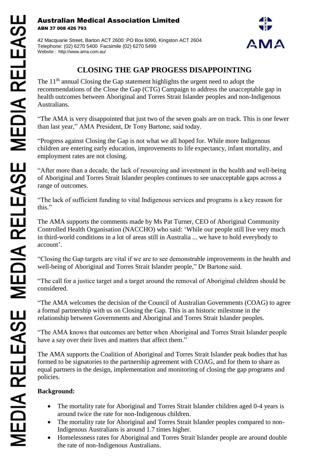## Australian Medical Association Limited ABN 37 008 426 793

42 Macquarie Street, Barton ACT 2600: PO Box 6090, Kingston ACT 2604 Telephone: (02) 6270 5400 Facsimile (02) 6270 5499 Website : http://www.ama.com.au/



## **CLOSING THE GAP PROGESS DISAPPOINTING**

The 11<sup>th</sup> annual Closing the Gap statement highlights the urgent need to adopt the recommendations of the Close the Gap (CTG) Campaign to address the unacceptable gap in health outcomes between Aboriginal and Torres Strait Islander peoples and non-Indigenous Australians.

"The AMA is very disappointed that just two of the seven goals are on track. This is one fewer than last year," AMA President, Dr Tony Bartone, said today.

"Progress against Closing the Gap is not what we all hoped for. While more Indigenous children are entering early education, improvements to life expectancy, infant mortality, and employment rates are not closing.

"After more than a decade, the lack of resourcing and investment in the health and well-being of Aboriginal and Torres Strait Islander peoples continues to see unacceptable gaps across a range of outcomes.

"The lack of sufficient funding to vital Indigenous services and programs is a key reason for this."

The AMA supports the comments made by Ms Pat Turner, CEO of Aboriginal Community Controlled Health Organisation (NACCHO) who said: 'While our people still live very much in third-world conditions in a lot of areas still in Australia ... we have to hold everybody to account'.

"Closing the Gap targets are vital if we are to see demonstrable improvements in the health and well-being of Aboriginal and Torres Strait Islander people," Dr Bartone said.

"The call for a justice target and a target around the removal of Aboriginal children should be considered.

"The AMA welcomes the decision of the Council of Australian Governments (COAG) to agree a formal partnership with us on Closing the Gap. This is an historic milestone in the relationship between Governments and Aboriginal and Torres Strait Islander peoples.

"The AMA knows that outcomes are better when Aboriginal and Torres Strait Islander people have a say over their lives and matters that affect them."

The AMA supports the Coalition of Aboriginal and Torres Strait Islander peak bodies that has formed to be signatories to the partnership agreement with COAG, and for them to share as equal partners in the design, implementation and monitoring of closing the gap programs and policies.

## **Background:**

- The mortality rate for Aboriginal and Torres Strait Islander children aged 0-4 years is around twice the rate for non-Indigenous children.
- The mortality rate for Aboriginal and Torres Strait Islander peoples compared to non-Indigenous Australians is around 1.7 times higher.
- Homelessness rates for Aboriginal and Torres Strait Islander people are around double the rate of non-Indigenous Australians.